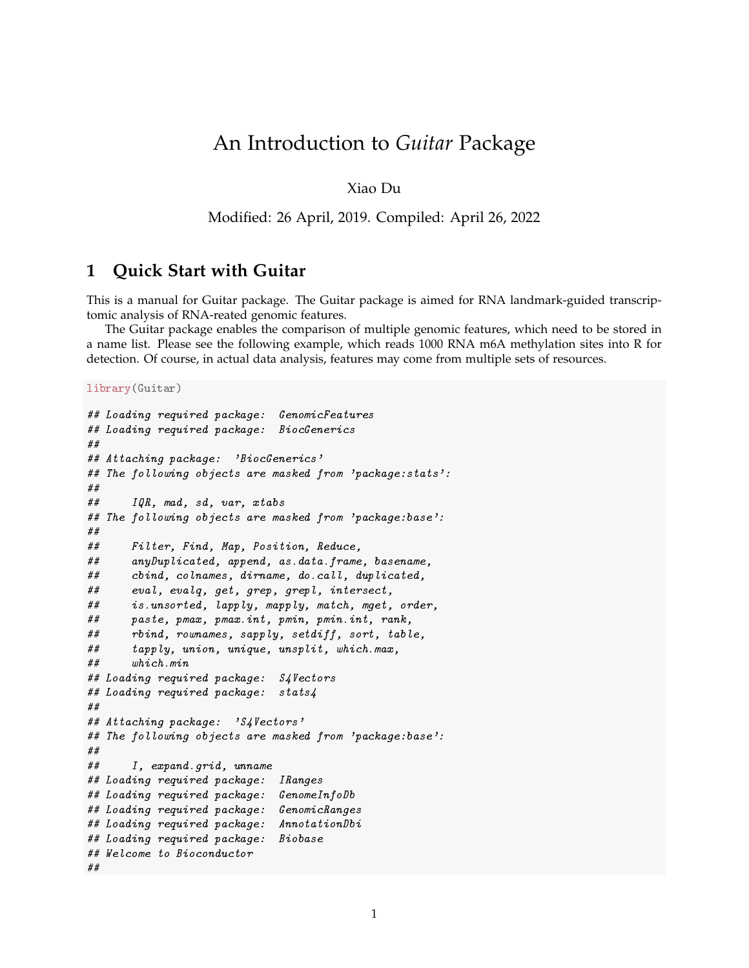# An Introduction to *Guitar* Package

Xiao Du

Modified: 26 April, 2019. Compiled: April 26, 2022

#### **1 Quick Start with Guitar**

This is a manual for Guitar package. The Guitar package is aimed for RNA landmark-guided transcriptomic analysis of RNA-reated genomic features.

The Guitar package enables the comparison of multiple genomic features, which need to be stored in a name list. Please see the following example, which reads 1000 RNA m6A methylation sites into R for detection. Of course, in actual data analysis, features may come from multiple sets of resources.

library(Guitar)

```
## Loading required package: GenomicFeatures
## Loading required package: BiocGenerics
##
## Attaching package: 'BiocGenerics'
## The following objects are masked from 'package:stats':
##
## IQR, mad, sd, var, xtabs
## The following objects are masked from 'package:base':
##
## Filter, Find, Map, Position, Reduce,
## anyDuplicated, append, as.data.frame, basename,
## cbind, colnames, dirname, do.call, duplicated,
## eval, evalq, get, grep, grepl, intersect,
## is.unsorted, lapply, mapply, match, mget, order,
## paste, pmax, pmax.int, pmin, pmin.int, rank,
## rbind, rownames, sapply, setdiff, sort, table,
## tapply, union, unique, unsplit, which.max,
## which.min
## Loading required package: S4Vectors
## Loading required package: stats4
##
## Attaching package: 'S4Vectors'
## The following objects are masked from 'package:base':
##
## I, expand.grid, unname
## Loading required package: IRanges
## Loading required package: GenomeInfoDb
## Loading required package: GenomicRanges
## Loading required package: AnnotationDbi
## Loading required package: Biobase
## Welcome to Bioconductor
##
```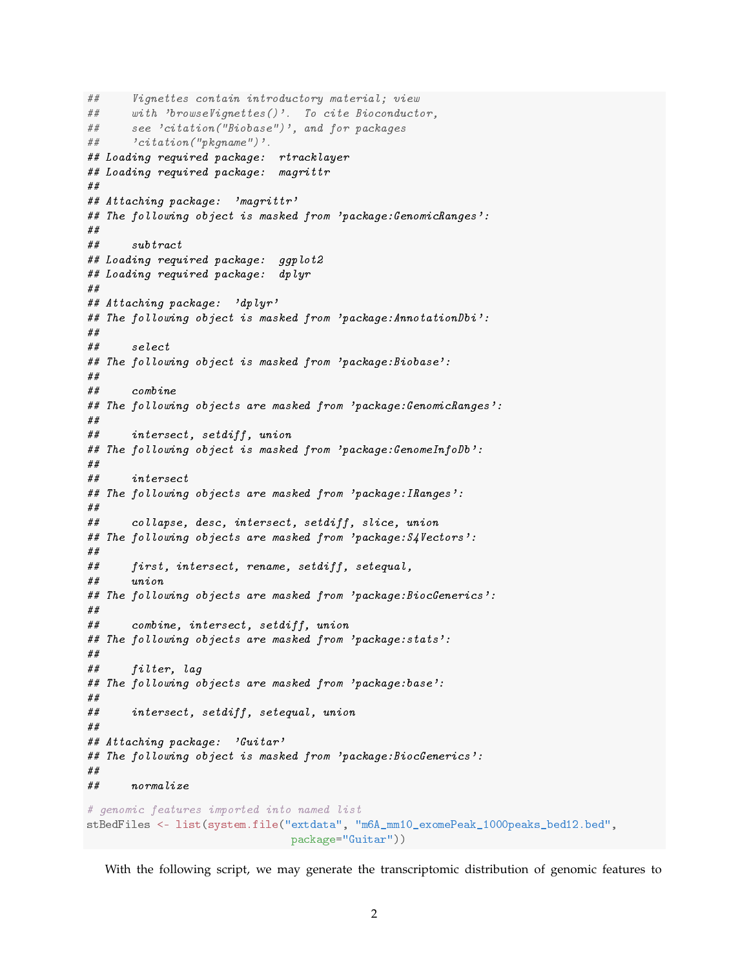```
## Vignettes contain introductory material; view
## with 'browseVignettes()'. To cite Bioconductor,
## see 'citation("Biobase")', and for packages
## 'citation("pkgname")'.
## Loading required package: rtracklayer
## Loading required package: magrittr
##
## Attaching package: 'magrittr'
## The following object is masked from 'package:GenomicRanges':
##
## subtract
## Loading required package: ggplot2
## Loading required package: dplyr
##
## Attaching package: 'dplyr'
## The following object is masked from 'package:AnnotationDbi':
##
## select
## The following object is masked from 'package:Biobase':
##
## combine
## The following objects are masked from 'package:GenomicRanges':
##
## intersect, setdiff, union
## The following object is masked from 'package:GenomeInfoDb':
##
## intersect
## The following objects are masked from 'package:IRanges':
##
## collapse, desc, intersect, setdiff, slice, union
## The following objects are masked from 'package:S4Vectors':
##
## first, intersect, rename, setdiff, setequal,
## union
## The following objects are masked from 'package:BiocGenerics':
##
## combine, intersect, setdiff, union
## The following objects are masked from 'package:stats':
##
## filter, lag
## The following objects are masked from 'package:base':
##
## intersect, setdiff, setequal, union
##
## Attaching package: 'Guitar'
## The following object is masked from 'package:BiocGenerics':
##
## normalize
# genomic features imported into named list
stBedFiles <- list(system.file("extdata", "m6A_mm10_exomePeak_1000peaks_bed12.bed",
                               package="Guitar"))
```
With the following script, we may generate the transcriptomic distribution of genomic features to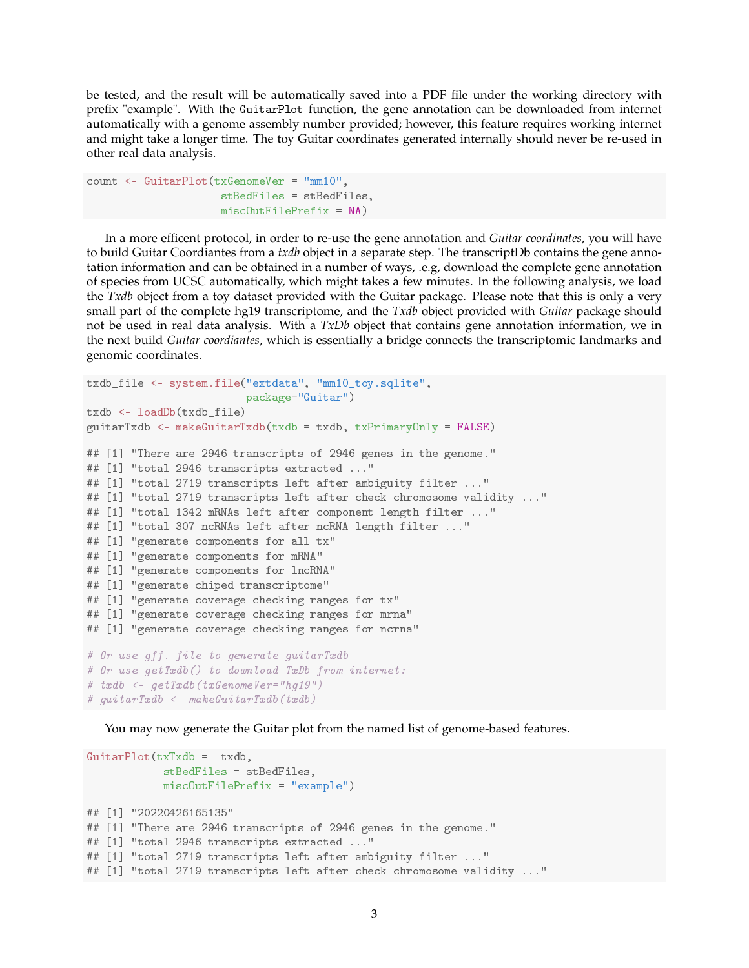be tested, and the result will be automatically saved into a PDF file under the working directory with prefix "example". With the GuitarPlot function, the gene annotation can be downloaded from internet automatically with a genome assembly number provided; however, this feature requires working internet and might take a longer time. The toy Guitar coordinates generated internally should never be re-used in other real data analysis.

```
count <- GuitarPlot(txGenomeVer = "mm10",
                     stBedFiles = stBedFiles,
                     miscOutFilePrefix = NA)
```
In a more efficent protocol, in order to re-use the gene annotation and *Guitar coordinates*, you will have to build Guitar Coordiantes from a *txdb* object in a separate step. The transcriptDb contains the gene annotation information and can be obtained in a number of ways, .e.g, download the complete gene annotation of species from UCSC automatically, which might takes a few minutes. In the following analysis, we load the *Txdb* object from a toy dataset provided with the Guitar package. Please note that this is only a very small part of the complete hg19 transcriptome, and the *Txdb* object provided with *Guitar* package should not be used in real data analysis. With a *TxDb* object that contains gene annotation information, we in the next build *Guitar coordiantes*, which is essentially a bridge connects the transcriptomic landmarks and genomic coordinates.

```
txdb_file <- system.file("extdata", "mm10_toy.sqlite",
                         package="Guitar")
txdb <- loadDb(txdb_file)
guitarTxdb <- makeGuitarTxdb(txdb = txdb, txPrimaryOnly = FALSE)
## [1] "There are 2946 transcripts of 2946 genes in the genome."
## [1] "total 2946 transcripts extracted ..."
## [1] "total 2719 transcripts left after ambiguity filter ..."
## [1] "total 2719 transcripts left after check chromosome validity ..."
## [1] "total 1342 mRNAs left after component length filter ..."
## [1] "total 307 ncRNAs left after ncRNA length filter ..."
## [1] "generate components for all tx"
## [1] "generate components for mRNA"
## [1] "generate components for lncRNA"
## [1] "generate chiped transcriptome"
## [1] "generate coverage checking ranges for tx"
## [1] "generate coverage checking ranges for mrna"
## [1] "generate coverage checking ranges for ncrna"
# Or use gff. file to generate guitarTxdb
# Or use getTxdb() to download TxDb from internet:
# txdb <- getTxdb(txGenomeVer="hg19")
# guitarTxdb <- makeGuitarTxdb(txdb)
```
You may now generate the Guitar plot from the named list of genome-based features.

```
GuitarPlot(txTxdb = txdb,stBedFiles = stBedFiles,
            miscOutFilePrefix = "example")
## [1] "20220426165135"
## [1] "There are 2946 transcripts of 2946 genes in the genome."
## [1] "total 2946 transcripts extracted ..."
## [1] "total 2719 transcripts left after ambiguity filter ..."
## [1] "total 2719 transcripts left after check chromosome validity ..."
```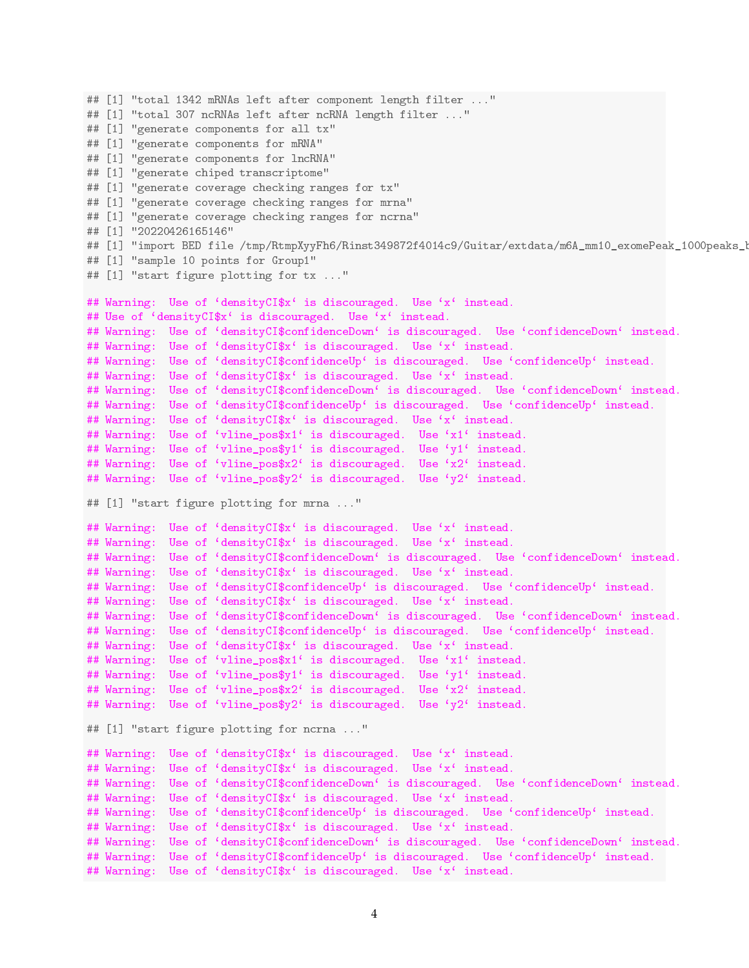```
## [1] "total 1342 mRNAs left after component length filter ..."
## [1] "total 307 ncRNAs left after ncRNA length filter ..."
## [1] "generate components for all tx"
## [1] "generate components for mRNA"
## [1] "generate components for lncRNA"
## [1] "generate chiped transcriptome"
## [1] "generate coverage checking ranges for tx"
## [1] "generate coverage checking ranges for mrna"
## [1] "generate coverage checking ranges for ncrna"
## [1] "20220426165146"
## [1] "import BED file /tmp/RtmpXyyFh6/Rinst349872f4014c9/Guitar/extdata/m6A_mm10_exomePeak_1000peaks_1
## [1] "sample 10 points for Group1"
## [1] "start figure plotting for tx ..."
## Warning: Use of 'densityCI$x' is discouraged. Use 'x' instead.
## Use of 'densityCI$x' is discouraged. Use 'x' instead.
## Warning: Use of 'densityCI$confidenceDown' is discouraged. Use 'confidenceDown' instead.
## Warning: Use of 'densityCI$x' is discouraged. Use 'x' instead.
## Warning: Use of 'densityCI$confidenceUp' is discouraged. Use 'confidenceUp' instead.
## Warning: Use of 'densityCI$x' is discouraged. Use 'x' instead.
## Warning: Use of 'densityCI$confidenceDown' is discouraged. Use 'confidenceDown' instead.
## Warning: Use of 'densityCI$confidenceUp' is discouraged. Use 'confidenceUp' instead.
## Warning: Use of 'densityCI$x' is discouraged. Use 'x' instead.
## Warning: Use of 'vline_pos$x1' is discouraged. Use 'x1' instead.
## Warning: Use of 'vline_pos$y1' is discouraged. Use 'y1' instead.
## Warning: Use of 'vline_pos$x2' is discouraged. Use 'x2' instead.
## Warning: Use of 'vline_pos$y2' is discouraged. Use 'y2' instead.
## [1] "start figure plotting for mrna ..."
## Warning: Use of 'densityCI$x' is discouraged. Use 'x' instead.
## Warning: Use of 'densityCI$x' is discouraged. Use 'x' instead.
## Warning: Use of 'densityCI$confidenceDown' is discouraged. Use 'confidenceDown' instead.
## Warning: Use of 'densityCI$x' is discouraged. Use 'x' instead.
## Warning: Use of 'densityCI$confidenceUp' is discouraged. Use 'confidenceUp' instead.
## Warning: Use of 'densityCI$x' is discouraged. Use 'x' instead.
## Warning: Use of 'densityCI$confidenceDown' is discouraged. Use 'confidenceDown' instead.
## Warning: Use of 'densityCI$confidenceUp' is discouraged. Use 'confidenceUp' instead.
## Warning: Use of 'densityCI$x' is discouraged. Use 'x' instead.
## Warning: Use of 'vline_pos$x1' is discouraged. Use 'x1' instead.
## Warning: Use of 'vline pos$y1' is discouraged. Use 'y1' instead.
## Warning: Use of 'vline_pos$x2' is discouraged. Use 'x2' instead.
## Warning: Use of 'vline_pos$y2' is discouraged. Use 'y2' instead.
## [1] "start figure plotting for ncrna ..."
## Warning: Use of 'densityCI$x' is discouraged. Use 'x' instead.
## Warning: Use of 'densityCI$x' is discouraged. Use 'x' instead.
## Warning: Use of 'densityCI$confidenceDown' is discouraged. Use 'confidenceDown' instead.
## Warning: Use of 'densityCI$x' is discouraged. Use 'x' instead.
## Warning: Use of 'densityCI$confidenceUp' is discouraged. Use 'confidenceUp' instead.
## Warning: Use of 'densityCI$x' is discouraged. Use 'x' instead.
## Warning: Use of 'densityCI$confidenceDown' is discouraged. Use 'confidenceDown' instead.
## Warning: Use of 'densityCI$confidenceUp' is discouraged. Use 'confidenceUp' instead.
## Warning: Use of 'densityCI$x' is discouraged. Use 'x' instead.
```

```
4
```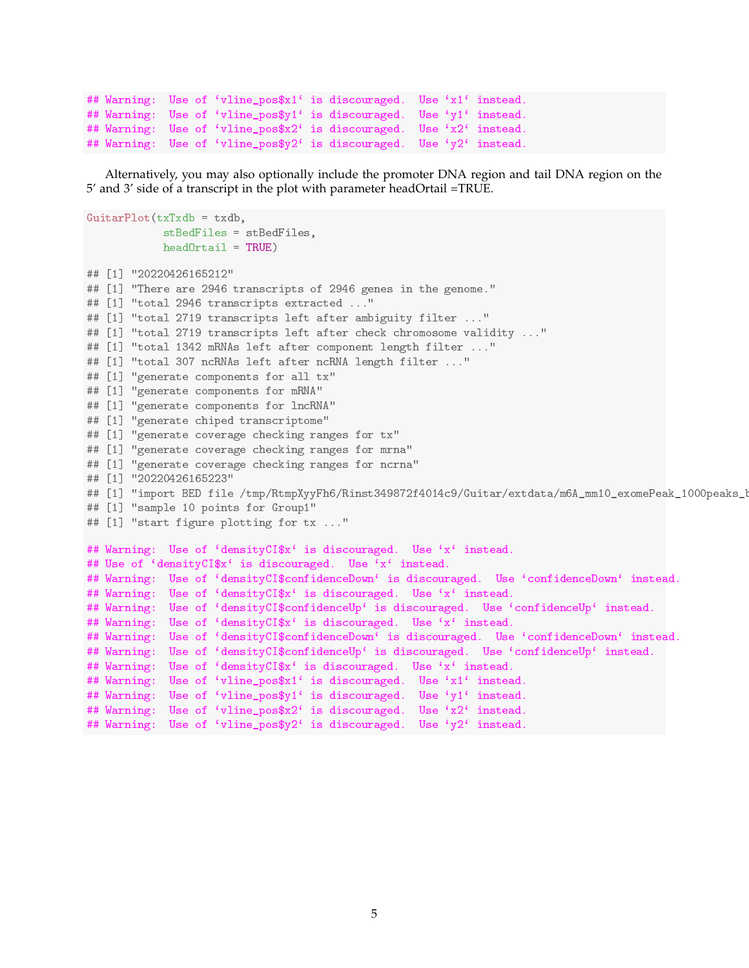```
## Warning: Use of 'vline_pos$x1' is discouraged. Use 'x1' instead.
## Warning: Use of 'vline_pos$y1' is discouraged. Use 'y1' instead.
## Warning: Use of 'vline_pos$x2' is discouraged. Use 'x2' instead.
## Warning: Use of 'vline_pos$y2' is discouraged. Use 'y2' instead.
```
Alternatively, you may also optionally include the promoter DNA region and tail DNA region on the 5' and 3' side of a transcript in the plot with parameter headOrtail =TRUE.

```
GuitarPlot(txTxdb = txdb,stBedFiles = stBedFiles,
            headOrtail = TRUE)
## [1] "20220426165212"
## [1] "There are 2946 transcripts of 2946 genes in the genome."
## [1] "total 2946 transcripts extracted ..."
## [1] "total 2719 transcripts left after ambiguity filter ..."
## [1] "total 2719 transcripts left after check chromosome validity ..."
## [1] "total 1342 mRNAs left after component length filter ..."
## [1] "total 307 ncRNAs left after ncRNA length filter ..."
## [1] "generate components for all tx"
## [1] "generate components for mRNA"
## [1] "generate components for lncRNA"
## [1] "generate chiped transcriptome"
## [1] "generate coverage checking ranges for tx"
## [1] "generate coverage checking ranges for mrna"
## [1] "generate coverage checking ranges for ncrna"
## [1] "20220426165223"
## [1] "import BED file /tmp/RtmpXyyFh6/Rinst349872f4014c9/Guitar/extdata/m6A_mm10_exomePeak_1000peaks_1
## [1] "sample 10 points for Group1"
## [1] "start figure plotting for tx ..."
## Warning: Use of 'densityCI$x' is discouraged. Use 'x' instead.
## Use of 'densityCI$x' is discouraged. Use 'x' instead.
## Warning: Use of 'densityCI$confidenceDown' is discouraged. Use 'confidenceDown' instead.
## Warning: Use of 'densityCI$x' is discouraged. Use 'x' instead.
## Warning: Use of 'densityCI$confidenceUp' is discouraged. Use 'confidenceUp' instead.
## Warning: Use of 'densityCI$x' is discouraged. Use 'x' instead.
## Warning: Use of 'densityCI$confidenceDown' is discouraged. Use 'confidenceDown' instead.
## Warning: Use of 'densityCI$confidenceUp' is discouraged. Use 'confidenceUp' instead.
## Warning: Use of 'densityCI$x' is discouraged. Use 'x' instead.
## Warning: Use of 'vline_pos$x1' is discouraged. Use 'x1' instead.
## Warning: Use of 'vline_pos$y1' is discouraged. Use 'y1' instead.
## Warning: Use of 'vline_pos$x2' is discouraged. Use 'x2' instead.
## Warning: Use of 'vline_pos$y2' is discouraged. Use 'y2' instead.
```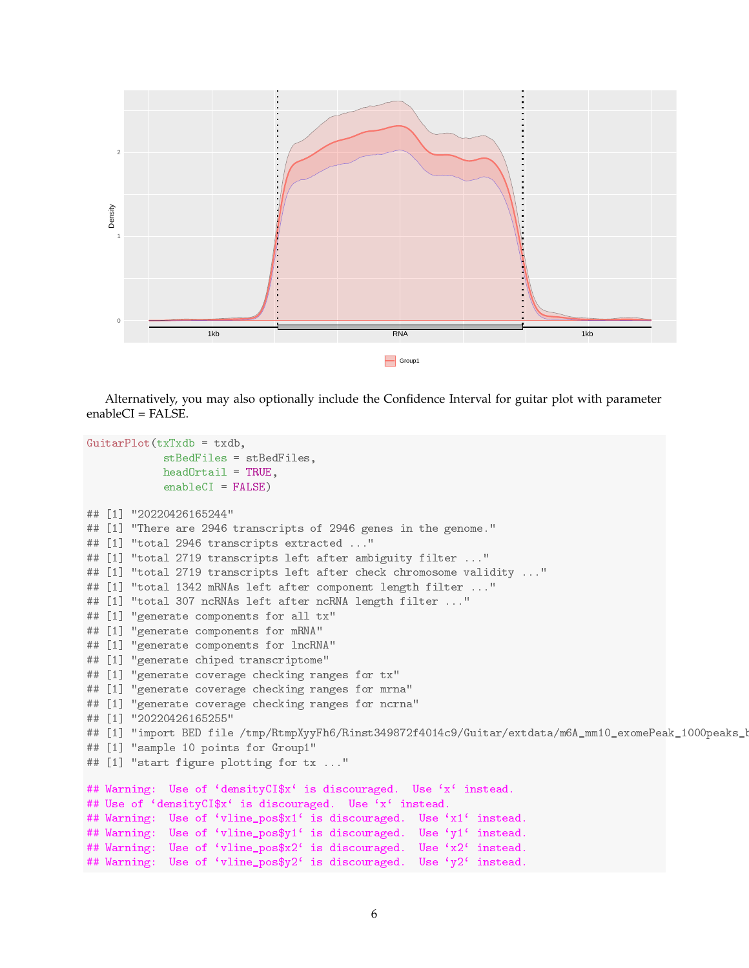

Alternatively, you may also optionally include the Confidence Interval for guitar plot with parameter  $enableCI = FALSE.$ 

```
GuitarPlot(txTxdb = txdb,
            stBedFiles = stBedFiles,
            headOrtail = TRUE,enableCI = FALSE)## [1] "20220426165244"
## [1] "There are 2946 transcripts of 2946 genes in the genome."
## [1] "total 2946 transcripts extracted ..."
## [1] "total 2719 transcripts left after ambiguity filter ..."
## [1] "total 2719 transcripts left after check chromosome validity ..."
## [1] "total 1342 mRNAs left after component length filter ..."
## [1] "total 307 ncRNAs left after ncRNA length filter ..."
## [1] "generate components for all tx"
## [1] "generate components for mRNA"
## [1] "generate components for lncRNA"
## [1] "generate chiped transcriptome"
## [1] "generate coverage checking ranges for tx"
## [1] "generate coverage checking ranges for mrna"
## [1] "generate coverage checking ranges for ncrna"
## [1] "20220426165255"
## [1] "import BED file /tmp/RtmpXyyFh6/Rinst349872f4014c9/Guitar/extdata/m6A_mm10_exomePeak_1000peaks_1
## [1] "sample 10 points for Group1"
## [1] "start figure plotting for tx ..."
## Warning: Use of 'densityCI$x' is discouraged. Use 'x' instead.
## Use of 'densityCI$x' is discouraged. Use 'x' instead.
## Warning: Use of 'vline_pos$x1' is discouraged. Use 'x1' instead.
## Warning: Use of 'vline_pos$y1' is discouraged. Use 'y1' instead.
## Warning: Use of 'vline_pos$x2' is discouraged. Use 'x2' instead.
## Warning: Use of 'vline_pos$y2' is discouraged. Use 'y2' instead.
```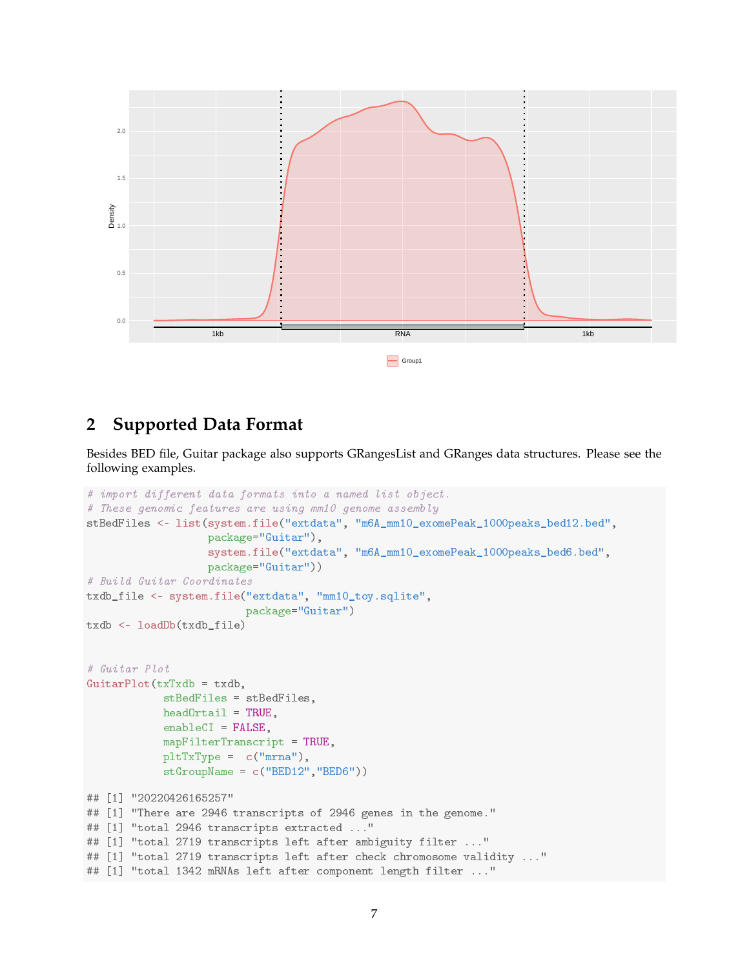

# **2 Supported Data Format**

Besides BED file, Guitar package also supports GRangesList and GRanges data structures. Please see the following examples.

```
# import different data formats into a named list object.
# These genomic features are using mm10 genome assembly
stBedFiles <- list(system.file("extdata", "m6A_mm10_exomePeak_1000peaks_bed12.bed",
                   package="Guitar"),
                   system.file("extdata", "m6A_mm10_exomePeak_1000peaks_bed6.bed",
                   package="Guitar"))
# Build Guitar Coordinates
txdb_file <- system.file("extdata", "mm10_toy.sqlite",
                         package="Guitar")
txdb <- loadDb(txdb_file)
# Guitar Plot
GuitarPlot(txTxdb = txdb,
            stBedFiles = stBedFiles,
            headOrtail = TRUE,enableCI = FALSE,
            mapFilterTranscript = TRUE,
            pltTxType = c("mrna"),
            stGroupName = c("BED12","BED6"))
## [1] "20220426165257"
## [1] "There are 2946 transcripts of 2946 genes in the genome."
## [1] "total 2946 transcripts extracted ..."
## [1] "total 2719 transcripts left after ambiguity filter ..."
## [1] "total 2719 transcripts left after check chromosome validity ..."
## [1] "total 1342 mRNAs left after component length filter ..."
```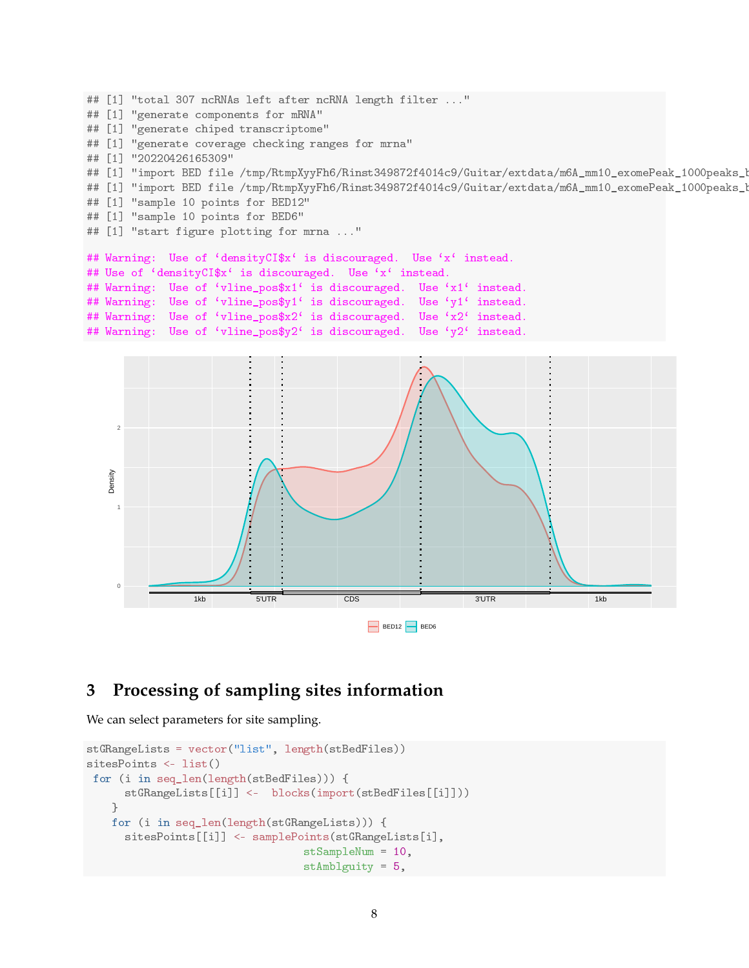```
## [1] "total 307 ncRNAs left after ncRNA length filter ..."
## [1] "generate components for mRNA"
## [1] "generate chiped transcriptome"
## [1] "generate coverage checking ranges for mrna"
## [1] "20220426165309"
## [1] "import BED file /tmp/RtmpXyyFh6/Rinst349872f4014c9/Guitar/extdata/m6A_mm10_exomePeak_1000peaks_bed12.bed"
## [1] "import BED file /tmp/RtmpXyyFh6/Rinst349872f4014c9/Guitar/extdata/m6A_mm10_exomePeak_1000peaks_1
## [1] "sample 10 points for BED12"
## [1] "sample 10 points for BED6"
## [1] "start figure plotting for mrna ..."
## Warning: Use of 'densityCI$x' is discouraged. Use 'x' instead.
## Use of 'densityCI$x' is discouraged. Use 'x' instead.
## Warning: Use of 'vline_pos$x1' is discouraged. Use 'x1' instead.
## Warning: Use of 'vline_pos$y1' is discouraged. Use 'y1' instead.
## Warning: Use of 'vline_pos$x2' is discouraged. Use 'x2' instead.
## Warning: Use of 'vline_pos$y2' is discouraged. Use 'y2' instead.
```


## **3 Processing of sampling sites information**

We can select parameters for site sampling.

```
stGRangeLists = vector("list", length(stBedFiles))
sitesPoints <- list()
for (i in seq_len(length(stBedFiles))) {
      stGRangeLists[[i]] <- blocks(import(stBedFiles[[i]]))
    }
   for (i in seq_len(length(stGRangeLists))) {
      sitesPoints[[i]] <- samplePoints(stGRangeLists[i],
                                  stSampleNum = 10,
                                  stAmblguity = 5,
```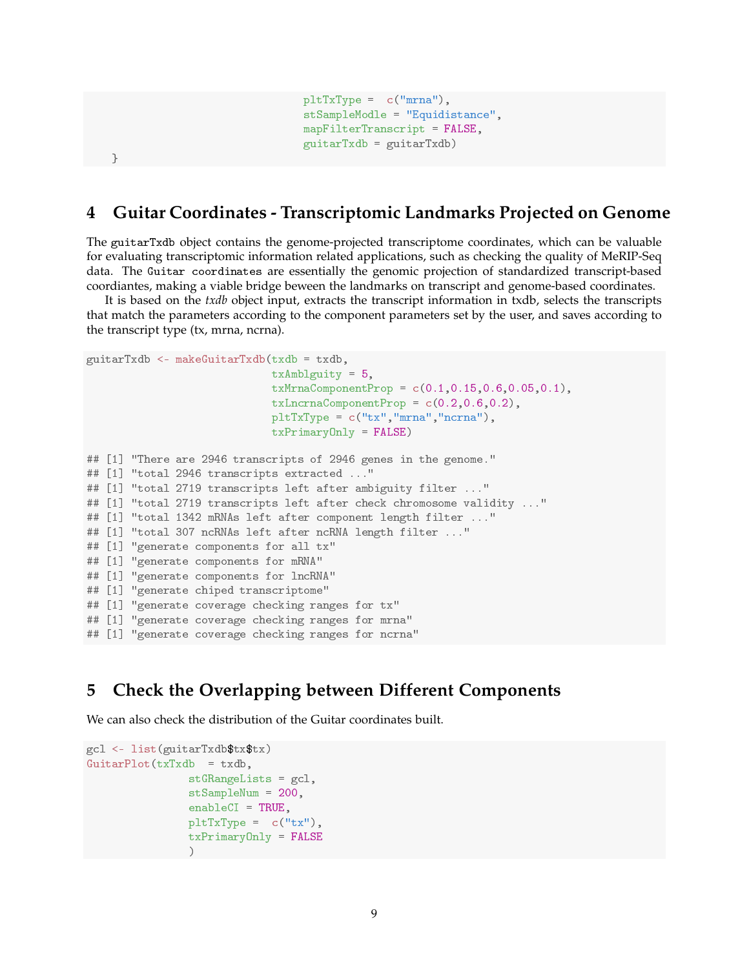```
pltTxType = c("mrna"),
stSampleModle = "Equidistance",
mapFilterTranscript = FALSE,
guitarTxdb = guitarTxdb)
```

```
}
```
## **4 Guitar Coordinates - Transcriptomic Landmarks Projected on Genome**

The guitarTxdb object contains the genome-projected transcriptome coordinates, which can be valuable for evaluating transcriptomic information related applications, such as checking the quality of MeRIP-Seq data. The Guitar coordinates are essentially the genomic projection of standardized transcript-based coordiantes, making a viable bridge beween the landmarks on transcript and genome-based coordinates.

It is based on the *txdb* object input, extracts the transcript information in txdb, selects the transcripts that match the parameters according to the component parameters set by the user, and saves according to the transcript type (tx, mrna, ncrna).

```
guitarTxdb <- makeGuitarTxdb(txdb = txdb,
                             txAmblguity = 5,
                             txMrnaComponentProp = c(0.1,0.15,0.6,0.05,0.1),
                             txLncrnaComponentProp = c(0.2, 0.6, 0.2),pltTxType = c("tx","mrna","ncrna"),
                             txPrimaryOnly = FALSE)
## [1] "There are 2946 transcripts of 2946 genes in the genome."
## [1] "total 2946 transcripts extracted ..."
## [1] "total 2719 transcripts left after ambiguity filter ..."
## [1] "total 2719 transcripts left after check chromosome validity ..."
## [1] "total 1342 mRNAs left after component length filter ..."
## [1] "total 307 ncRNAs left after ncRNA length filter ..."
## [1] "generate components for all tx"
## [1] "generate components for mRNA"
## [1] "generate components for lncRNA"
## [1] "generate chiped transcriptome"
## [1] "generate coverage checking ranges for tx"
## [1] "generate coverage checking ranges for mrna"
## [1] "generate coverage checking ranges for ncrna"
```
## **5 Check the Overlapping between Different Components**

We can also check the distribution of the Guitar coordinates built.

```
gcl <- list(guitarTxdb$tx$tx)
GuitarPlot(txTxdb = txdb,stGRangeLists = gcl,
                stSampleNum = 200,
                enableCI = TRUE,
                pltTxType = c("tx"),
                txPrimaryOnly = FALSE
                )
```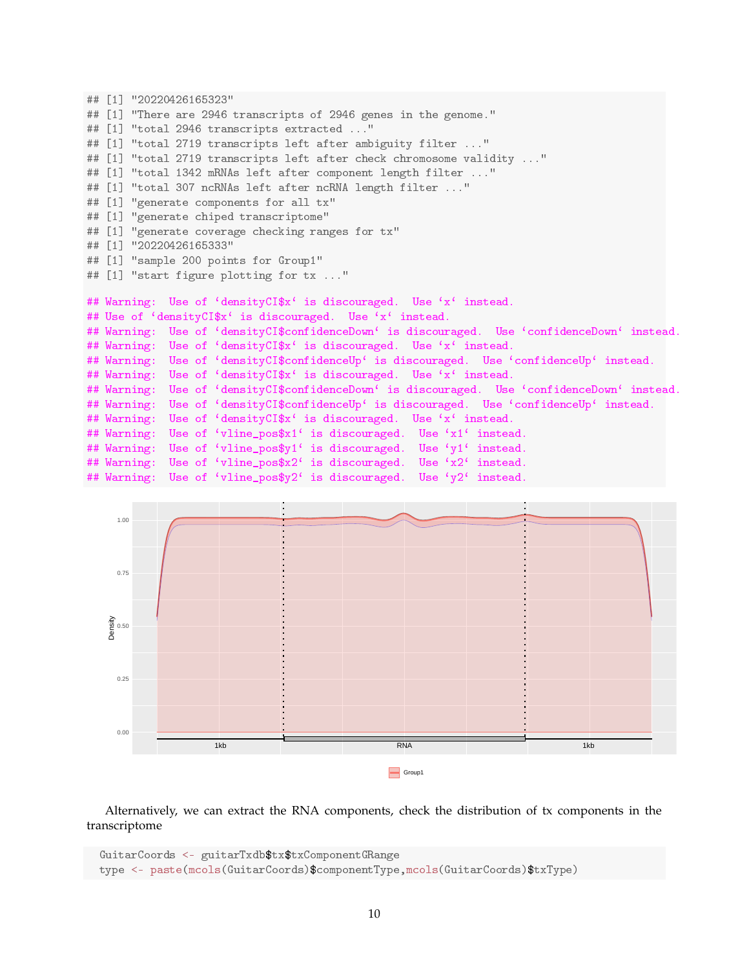```
## [1] "20220426165323"
## [1] "There are 2946 transcripts of 2946 genes in the genome."
## [1] "total 2946 transcripts extracted ..."
## [1] "total 2719 transcripts left after ambiguity filter ..."
## [1] "total 2719 transcripts left after check chromosome validity ..."
## [1] "total 1342 mRNAs left after component length filter ..."
## [1] "total 307 ncRNAs left after ncRNA length filter ..."
## [1] "generate components for all tx"
## [1] "generate chiped transcriptome"
## [1] "generate coverage checking ranges for tx"
## [1] "20220426165333"
## [1] "sample 200 points for Group1"
## [1] "start figure plotting for tx ..."
## Warning: Use of 'densityCI$x' is discouraged. Use 'x' instead.
## Use of 'densityCI$x' is discouraged. Use 'x' instead.
## Warning: Use of 'densityCI$confidenceDown' is discouraged. Use 'confidenceDown' instead.
## Warning: Use of 'densityCI$x' is discouraged. Use 'x' instead.
## Warning: Use of 'densityCI$confidenceUp' is discouraged. Use 'confidenceUp' instead.
## Warning: Use of 'densityCI$x' is discouraged. Use 'x' instead.
## Warning: Use of 'densityCI$confidenceDown' is discouraged. Use 'confidenceDown' instead.
## Warning: Use of 'densityCI$confidenceUp' is discouraged. Use 'confidenceUp' instead.
## Warning: Use of 'densityCI$x' is discouraged. Use 'x' instead.
## Warning: Use of 'vline_pos$x1' is discouraged. Use 'x1' instead.
## Warning: Use of 'vline_pos$y1' is discouraged. Use 'y1' instead.<br>## Warning: Use of 'vline_pos$x2' is discouraged. Use 'x2' instead.
## Warning: Use of 'vline_pos$x2' is discouraged.
## Warning: Use of 'vline_pos$y2' is discouraged. Use 'y2' instead
```


Alternatively, we can extract the RNA components, check the distribution of tx components in the transcriptome

```
GuitarCoords <- guitarTxdb$tx$txComponentGRange
type <- paste(mcols(GuitarCoords)$componentType,mcols(GuitarCoords)$txType)
```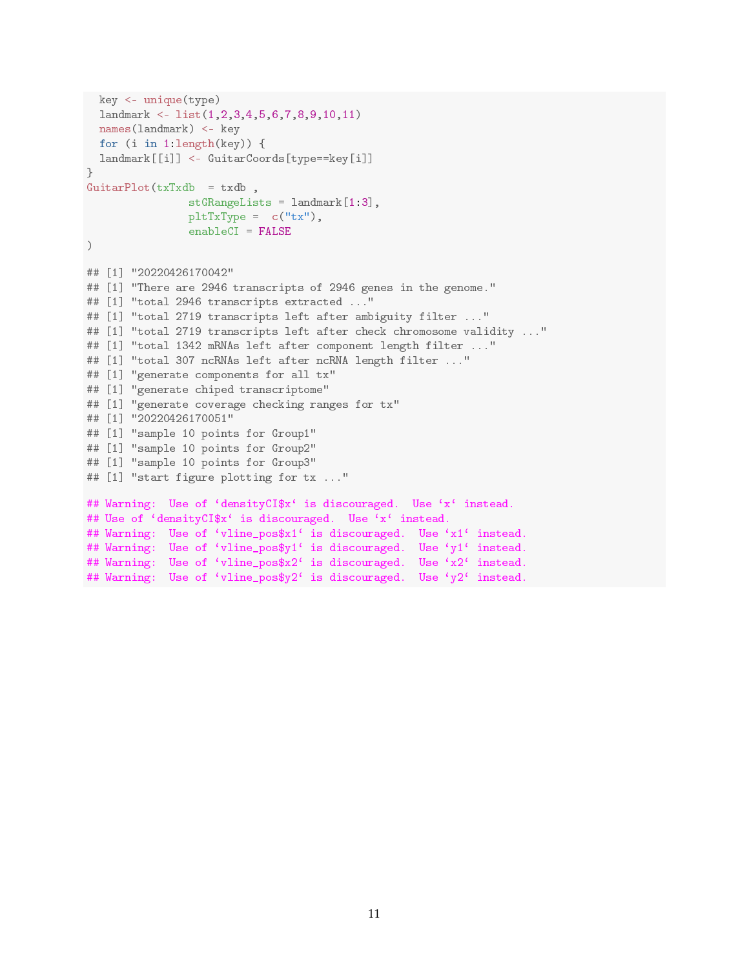```
key <- unique(type)
  landmark <- list(1,2,3,4,5,6,7,8,9,10,11)
 names(landmark) <- key
 for (i in 1:length(key)) {
 landmark[[i]] <- GuitarCoords[type==key[i]]
}
GuitarPlot(txTxdb = txdb,
               stGRangeLists = landmark[1:3],
                pltTxType = c("tx"),
                enableCI = FALSE\lambda## [1] "20220426170042"
## [1] "There are 2946 transcripts of 2946 genes in the genome."
## [1] "total 2946 transcripts extracted ..."
## [1] "total 2719 transcripts left after ambiguity filter ..."
## [1] "total 2719 transcripts left after check chromosome validity ..."
## [1] "total 1342 mRNAs left after component length filter ..."
## [1] "total 307 ncRNAs left after ncRNA length filter ..."
## [1] "generate components for all tx"
## [1] "generate chiped transcriptome"
## [1] "generate coverage checking ranges for tx"
## [1] "20220426170051"
## [1] "sample 10 points for Group1"
## [1] "sample 10 points for Group2"
## [1] "sample 10 points for Group3"
## [1] "start figure plotting for tx ..."
## Warning: Use of 'densityCI$x' is discouraged. Use 'x' instead.
## Use of 'densityCI$x' is discouraged. Use 'x' instead.
## Warning: Use of 'vline_pos$x1' is discouraged. Use 'x1' instead.
## Warning: Use of 'vline_pos$y1' is discouraged. Use 'y1' instead.
## Warning: Use of 'vline_pos$x2' is discouraged. Use 'x2' instead.
## Warning: Use of 'vline_pos$y2' is discouraged. Use 'y2' instead.
```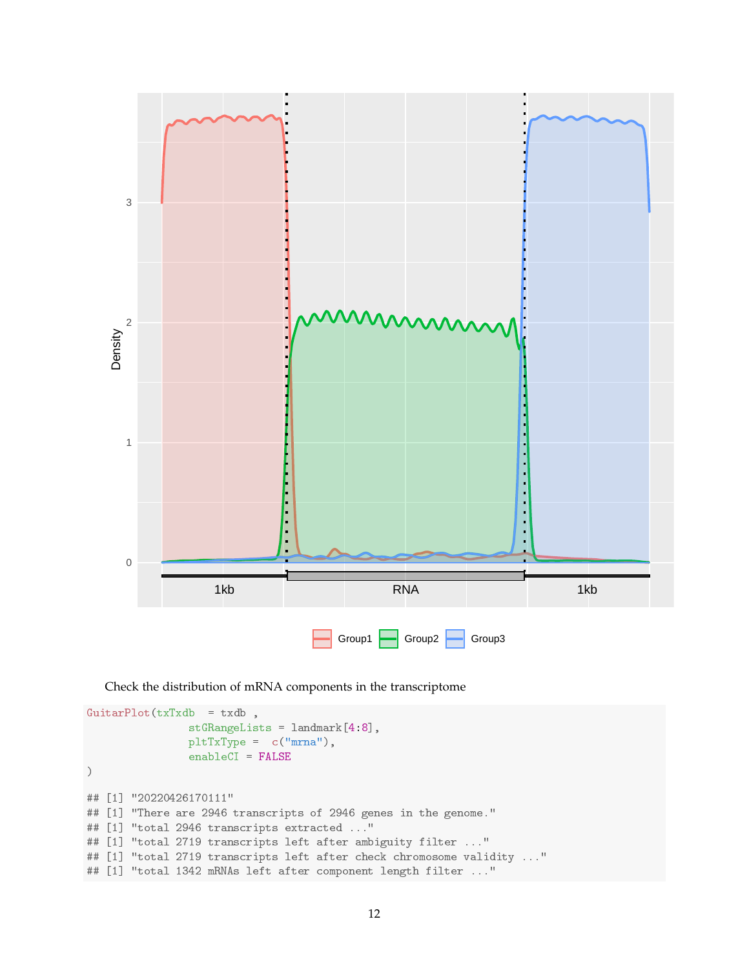

Check the distribution of mRNA components in the transcriptome

```
GuitarPlot(txTxdb = txdb,
                stGRangeLists = landmark[4:8],
                pltTxType = c("mrna"),
                enableCI = FALSE
)
## [1] "20220426170111"
## [1] "There are 2946 transcripts of 2946 genes in the genome."
## [1] "total 2946 transcripts extracted ..."
## [1] "total 2719 transcripts left after ambiguity filter ..."
## [1] "total 2719 transcripts left after check chromosome validity ..."
## [1] "total 1342 mRNAs left after component length filter ..."
```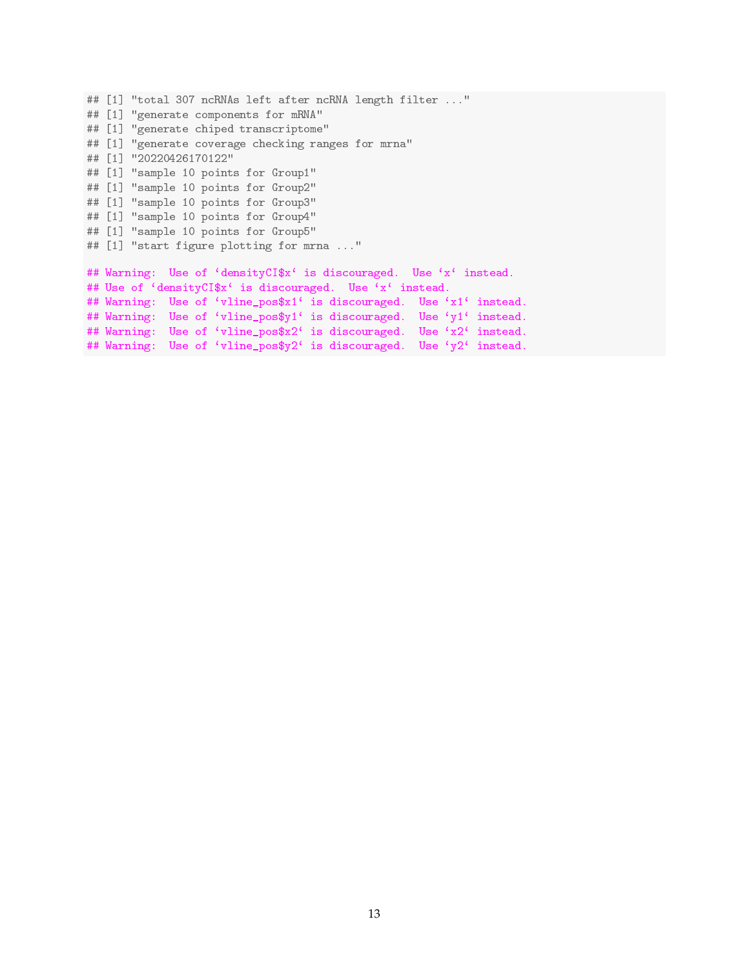```
## [1] "total 307 ncRNAs left after ncRNA length filter ..."
## [1] "generate components for mRNA"
## [1] "generate chiped transcriptome"
## [1] "generate coverage checking ranges for mrna"
## [1] "20220426170122"
## [1] "sample 10 points for Group1"
## [1] "sample 10 points for Group2"
## [1] "sample 10 points for Group3"
## [1] "sample 10 points for Group4"
## [1] "sample 10 points for Group5"
## [1] "start figure plotting for mrna ..."
## Warning: Use of 'densityCI$x' is discouraged. Use 'x' instead.
## Use of 'densityCI$x' is discouraged. Use 'x' instead.
## Warning: Use of 'vline_pos$x1' is discouraged. Use 'x1' instead.
## Warning: Use of 'vline_pos$y1' is discouraged. Use 'y1' instead.
## Warning: Use of 'vline_pos$x2' is discouraged. Use 'x2' instead.
## Warning: Use of 'vline_pos$y2' is discouraged. Use 'y2' instead.
```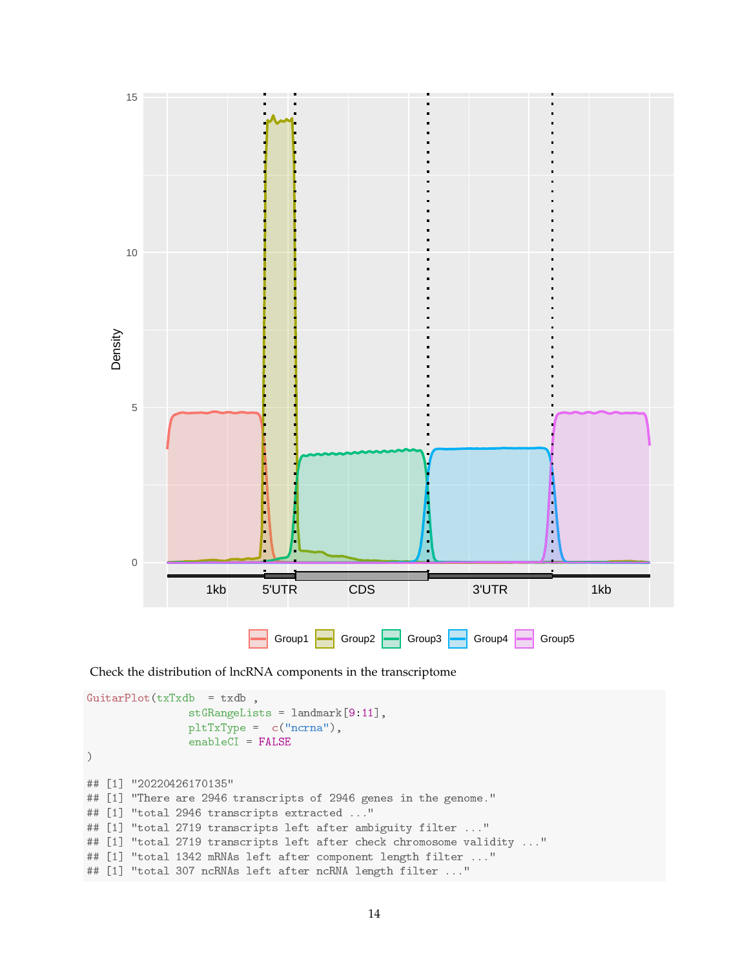

Check the distribution of lncRNA components in the transcriptome

```
GuitarPlot(txTxdb = txdb,
                stGRangeLists = landmark[9:11],pltTxType = c("ncrna"),
                enableCI = FALSE
)
## [1] "20220426170135"
## [1] "There are 2946 transcripts of 2946 genes in the genome."
## [1] "total 2946 transcripts extracted ..."
## [1] "total 2719 transcripts left after ambiguity filter ..."
## [1] "total 2719 transcripts left after check chromosome validity ..."
## [1] "total 1342 mRNAs left after component length filter ..."
## [1] "total 307 ncRNAs left after ncRNA length filter ..."
```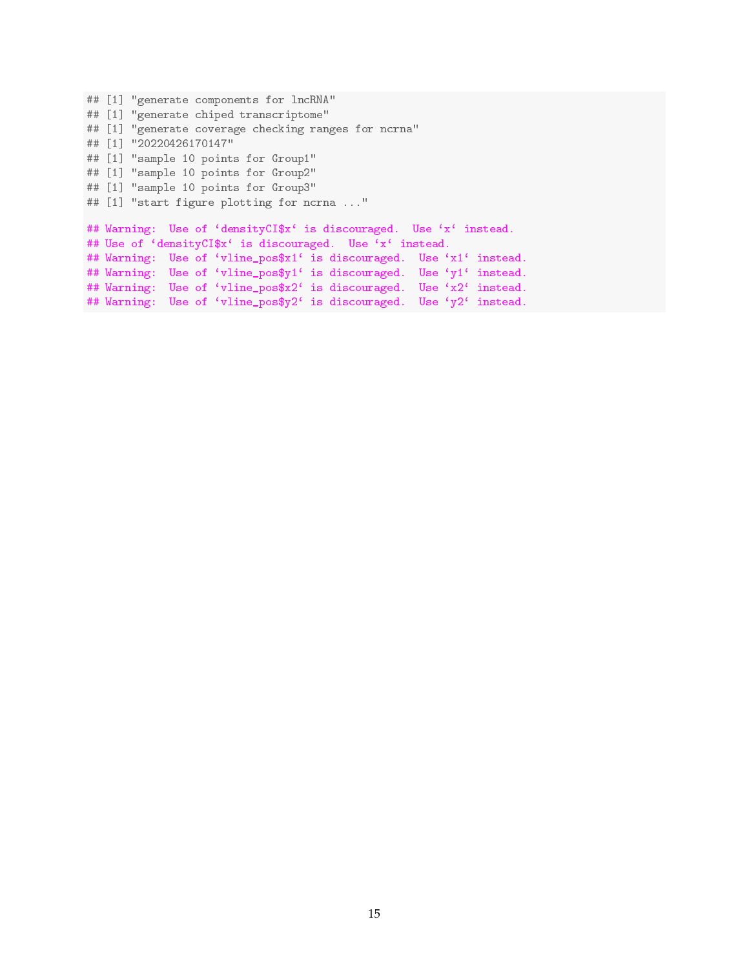```
## [1] "generate components for lncRNA"
## [1] "generate chiped transcriptome"
## [1] "generate coverage checking ranges for ncrna"
## [1] "20220426170147"
## [1] "sample 10 points for Group1"
## [1] "sample 10 points for Group2"
## [1] "sample 10 points for Group3"
## [1] "start figure plotting for ncrna ..."
## Warning: Use of 'densityCI$x' is discouraged. Use 'x' instead.
## Use of 'densityCI$x' is discouraged. Use 'x' instead.
## Warning: Use of 'vline_pos$x1' is discouraged. Use 'x1' instead.
## Warning: Use of 'vline_pos$y1' is discouraged. Use 'y1' instead.
## Warning: Use of 'vline_pos$x2' is discouraged. Use 'x2' instead.
## Warning: Use of 'vline_pos$y2' is discouraged. Use 'y2' instead.
```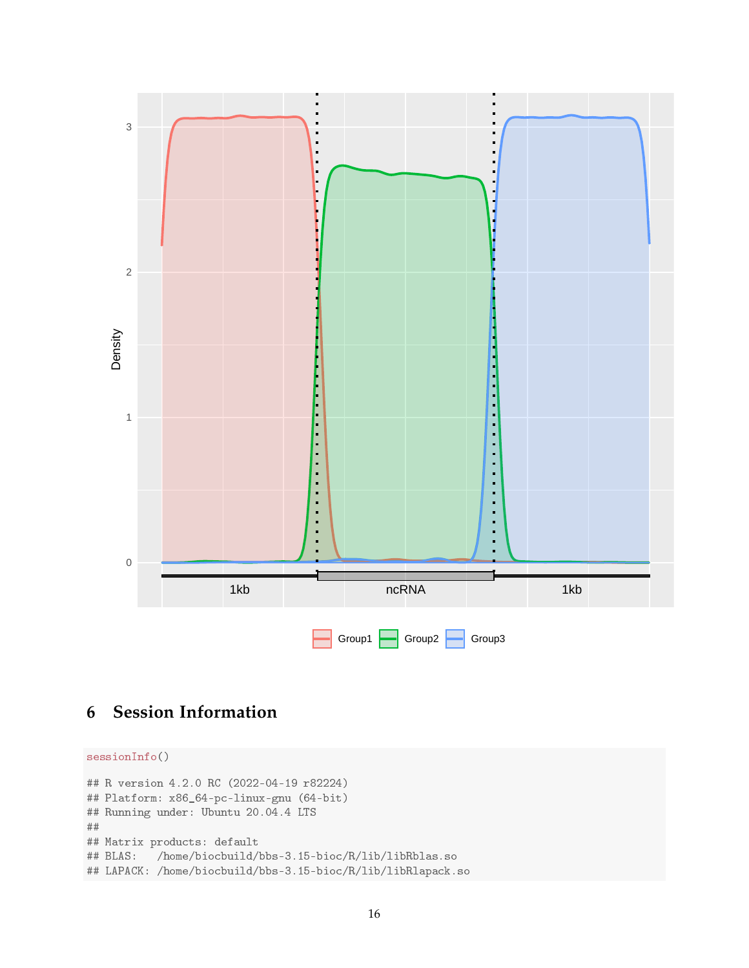

# **6 Session Information**

```
sessionInfo()
## R version 4.2.0 RC (2022-04-19 r82224)
## Platform: x86_64-pc-linux-gnu (64-bit)
## Running under: Ubuntu 20.04.4 LTS
##
## Matrix products: default
## BLAS: /home/biocbuild/bbs-3.15-bioc/R/lib/libRblas.so
## LAPACK: /home/biocbuild/bbs-3.15-bioc/R/lib/libRlapack.so
```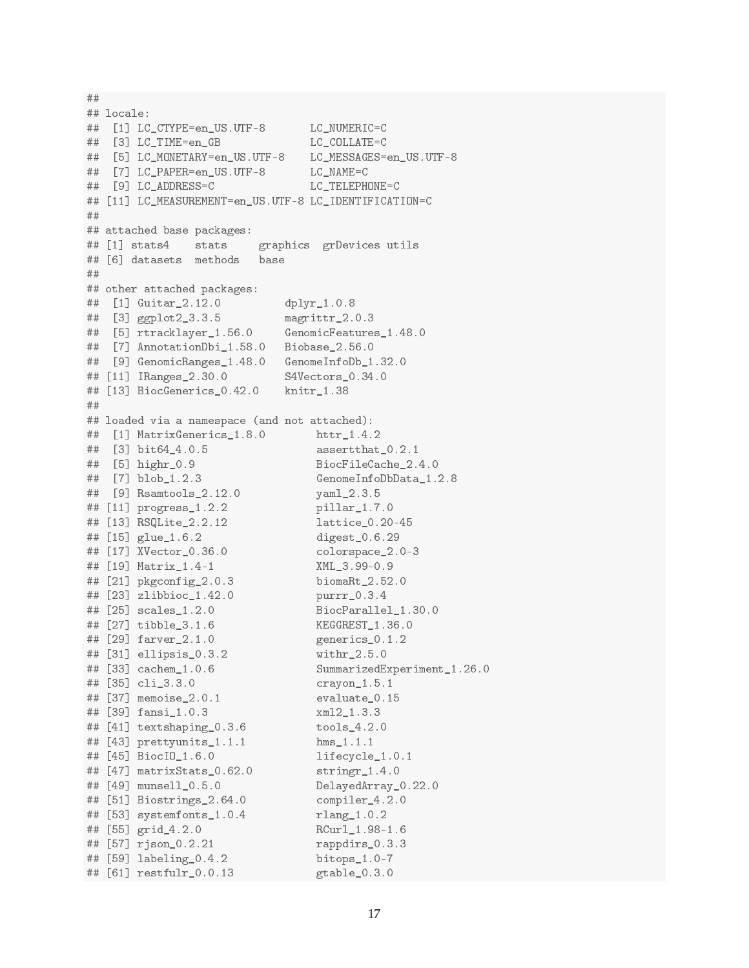```
## locale:
## [1] LC_CTYPE=en_US.UTF-8 LC_NUMERIC=C
## [3] LC_TIME=en_GB LC_COLLATE=C
## [5] LC_MONETARY=en_US.UTF-8 LC_MESSAGES=en_US.UTF-8
## [7] LC_PAPER=en_US.UTF-8 LC_NAME=C
## [9] LC_ADDRESS=C LC_TELEPHONE=C
## [11] LC_MEASUREMENT=en_US.UTF-8 LC_IDENTIFICATION=C
##
## attached base packages:
## [1] stats4 stats graphics grDevices utils
## [6] datasets methods base
##
## other attached packages:
## [1] Guitar_2.12.0 dplyr_1.0.8
## [3] ggplot2_3.3.5 magrittr_2.0.3
## [5] rtracklayer_1.56.0 GenomicFeatures_1.48.0
## [7] AnnotationDbi_1.58.0 Biobase_2.56.0
## [9] GenomicRanges_1.48.0 GenomeInfoDb_1.32.0
## [11] IRanges_2.30.0 S4Vectors_0.34.0
## [13] BiocGenerics_0.42.0 knitr_1.38
##
## loaded via a namespace (and not attached):
## [1] MatrixGenerics_1.8.0 httr_1.4.2
## [3] bit64_4.0.5 assertthat_0.2.1
## [5] highr_0.9 BiocFileCache_2.4.0
## [7] blob_1.2.3 GenomeInfoDbData_1.2.8
## [9] Rsamtools_2.12.0 yaml_2.3.5
## [11] progress_1.2.2 pillar_1.7.0
## [13] RSQLite_2.2.12 lattice_0.20-45
## [15] glue_1.6.2 digest_0.6.29
## [17] XVector_0.36.0 colorspace_2.0-3
## [19] Matrix_1.4-1 XML_3.99-0.9
## [21] pkgconfig_2.0.3 biomaRt_2.52.0
## [23] zlibbioc_1.42.0 purrr_0.3.4
## [25] scales_1.2.0 BiocParallel_1.30.0
## [27] tibble_3.1.6 KEGGREST_1.36.0
## [29] farver_2.1.0 generics_0.1.2
## [31] ellipsis_0.3.2 withr_2.5.0
## [33] cachem_1.0.6 SummarizedExperiment_1.26.0
## [35] cli_3.3.0 crayon_1.5.1
## [37] memoise_2.0.1 evaluate_0.15
## [39] fansi_1.0.3 xml2_1.3.3
## [41] textshaping_0.3.6 tools_4.2.0
## [43] prettyunits_1.1.1 hms_1.1.1
## [45] BiocIO_1.6.0 lifecycle_1.0.1
## [47] matrixStats_0.62.0 stringr_1.4.0
## [49] munsell_0.5.0 DelayedArray_0.22.0
## [51] Biostrings_2.64.0 compiler_4.2.0
## [53] systemfonts_1.0.4 rlang_1.0.2
## [55] grid_4.2.0 RCurl_1.98-1.6
## [57] rjson_0.2.21 rappdirs_0.3.3
## [59] labeling_0.4.2 bitops_1.0-7
## [61] restfulr_0.0.13 gtable_0.3.0
```
##